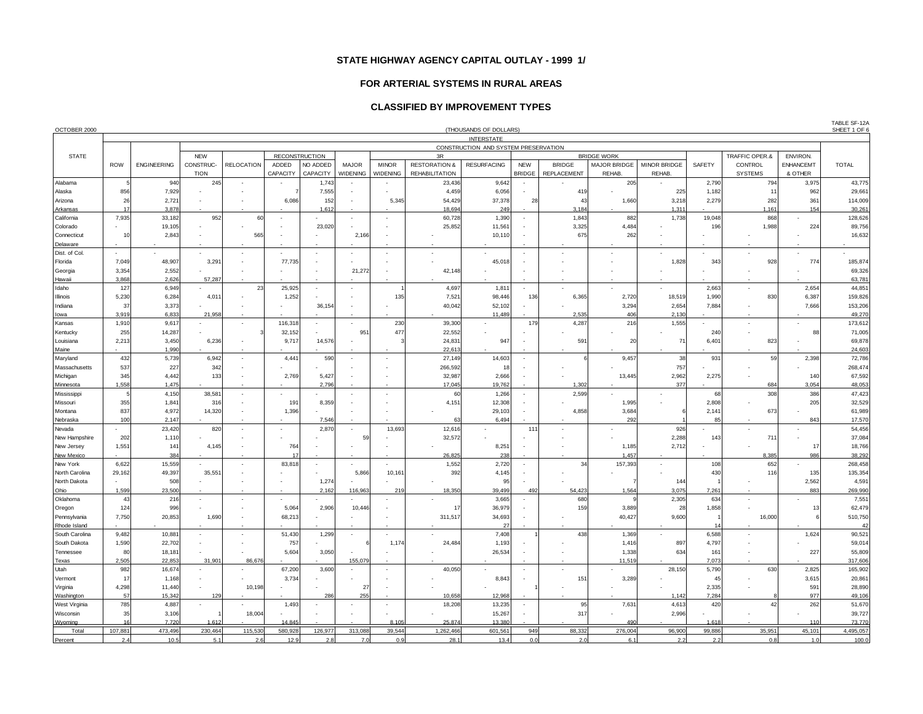#### **FOR ARTERIAL SYSTEMS IN RURAL AREAS**

# **CLASSIFIED BY IMPROVEMENT TYPES**

| OCTOBER 2000           |                 |                    |             |                          |                          |                          |                          |              |                          | (THOUSANDS OF DOLLARS)               |                             |                       |                    |                          |                |                |                  | TABLE SF-12A<br>SHEET 1 OF |
|------------------------|-----------------|--------------------|-------------|--------------------------|--------------------------|--------------------------|--------------------------|--------------|--------------------------|--------------------------------------|-----------------------------|-----------------------|--------------------|--------------------------|----------------|----------------|------------------|----------------------------|
|                        |                 |                    |             |                          |                          |                          |                          |              |                          | <b>INTERSTATE</b>                    |                             |                       |                    |                          |                |                |                  |                            |
|                        |                 |                    |             |                          |                          |                          |                          |              |                          | CONSTRUCTION AND SYSTEM PRESERVATION |                             |                       |                    |                          |                |                |                  |                            |
| <b>STATE</b>           |                 |                    | <b>NEW</b>  |                          |                          | <b>RECONSTRUCTION</b>    |                          |              | 3R                       |                                      |                             |                       | <b>BRIDGE WORK</b> |                          |                | TRAFFIC OPER.& | ENVIRON.         |                            |
|                        | <b>ROW</b>      | <b>ENGINEERING</b> | CONSTRUC-   | <b>RELOCATION</b>        | ADDED                    | NO ADDED                 | <b>MAJOR</b>             | <b>MINOR</b> | <b>RESTORATION &amp;</b> | <b>RESURFACING</b>                   | <b>NEW</b>                  | <b>BRIDGE</b>         | MAJOR BRIDGE       | MINOR BRIDGE             | SAFETY         | CONTROL        | <b>ENHANCEMT</b> | <b>TOTAL</b>               |
|                        |                 |                    | <b>TION</b> |                          | CAPACITY                 | CAPACITY                 | WIDENING                 | WIDENING     | <b>REHABILITATION</b>    |                                      | BRIDGE                      | REPLACEMENT           | REHAB.             | REHAB.                   |                | <b>SYSTEMS</b> | & OTHER          |                            |
| Alabama                |                 | 940                | 245         | $\overline{\phantom{a}}$ |                          | 1,743                    | $\overline{\phantom{a}}$ |              | 23,436                   | 9,642                                | $\blacksquare$              |                       | 205                |                          | 2,790          | 794            | 3,975            | 43,775                     |
| Alaska                 | 856             | 7,929              |             |                          |                          | 7,555                    |                          |              | 4,459                    | 6,056                                |                             | 419                   |                    | 225                      | 1,182          | 1 <sup>1</sup> | 962              | 29,661                     |
| Arizona                | 26              | 2,721              |             |                          | 6,086                    | 152                      |                          | 5,345        | 54,429                   | 37,378                               | 28                          | 43                    | 1,660              | 3,218                    | 2,279          | 282            | 361              | 114,009                    |
| Arkansas               | 17              | 3,878              |             |                          |                          | 1,612                    |                          |              | 18,694                   | 249                                  |                             | 3,184                 |                    | 1,311                    |                | 1,161          | 154              | 30,261                     |
| California             | 7,935           | 33,182             | 952         | 60                       |                          |                          |                          |              | 60,728                   | 1,390                                | ÷.                          | 1,843                 | 882                | 1,738                    | 19,048         | 868            |                  | 128,626                    |
| Colorado               |                 | 19,105             |             |                          |                          | 23,020                   |                          |              | 25,852                   | 11,561                               |                             | 3,325                 | 4,484              |                          | 196            | 1,988          | 224              | 89,756                     |
| Connecticut            | 10              | 2,843              |             | 565                      |                          |                          | 2,166                    |              |                          | 10,110                               |                             | 675                   | 262                |                          |                |                |                  | 16,632                     |
| Delaware               |                 |                    |             |                          |                          |                          |                          |              |                          |                                      | ÷.                          |                       |                    |                          |                |                |                  |                            |
| Dist. of Col.          | ÷.              |                    |             | ÷,                       |                          | $\overline{\phantom{a}}$ |                          |              |                          |                                      |                             |                       |                    |                          |                |                |                  |                            |
| Florida                | 7,049<br>3,354  | 48,907<br>2,552    | 3,291       |                          | 77,735                   |                          | 21,272                   |              | 42,148                   | 45,018                               |                             |                       |                    | 1,828                    | 343            | 928            | 774              | 185,874<br>69,326          |
| Georgia<br>Hawaii      | 3,868           | 2,626              | 57,287      |                          |                          |                          |                          |              |                          |                                      |                             |                       |                    |                          |                |                |                  | 63,781                     |
| Idaho                  | 127             | 6,949              |             | 23                       | 25,925                   | $\overline{\phantom{a}}$ |                          |              | 4,697                    | 1,81                                 | $\overline{a}$              |                       |                    |                          | 2,663          |                | 2,654            | 44,851                     |
| Illinois               | 5,230           | 6,284              | 4,011       |                          | 1,252                    |                          |                          | 135          | 7,521                    | 98,446                               | 136                         | 6,365                 | 2,720              | 18,519                   | 1,990          | 830            | 6,387            | 159,826                    |
| Indiana                | 37              | 3,373              |             |                          |                          | 36.154                   |                          |              | 40,042                   | 52.102                               |                             |                       | 3,294              | 2,654                    | 7,884          |                | 7.666            | 153,206                    |
| lowa                   | 3,919           | 6,833              | 21,958      |                          |                          |                          |                          |              |                          | 11,489                               |                             | 2,535                 | 406                | 2,130                    |                |                |                  | 49,270                     |
| Kansas                 | 1,910           | 9,617              |             |                          | 116,31                   |                          |                          | 230          | 39,300                   |                                      | 179                         | 4,287                 | 216                | 1,555                    |                |                |                  | 173,612                    |
| Kentucky               | 255             | 14,287             |             |                          | 32,152                   |                          | 95'                      | 477          | 22,552                   |                                      |                             |                       |                    |                          | 240            |                | 88               | 71,005                     |
| Louisiana              | 2,213           | 3,450              | 6,236       | ÷,                       | 9,71                     | 14,576                   | ÷,                       |              | 24,831                   | 947                                  |                             | 591                   | 20                 | 71                       | 6,401          | 823            |                  | 69,878                     |
| Maine                  |                 | 1,990              |             |                          |                          |                          |                          |              | 22,613                   |                                      |                             |                       |                    |                          |                |                |                  | 24,603                     |
| Maryland               | 432             | 5,739              | 6,942       | ÷,                       | 4,441                    | 590                      |                          |              | 27,149                   | 14,603                               | ÷,                          |                       | 9,457              | 38                       | 931            | 59             | 2,398            | 72,786                     |
| Massachusetts          | 537             | 227                | 342         |                          |                          |                          |                          |              | 266,592                  | 18                                   |                             |                       |                    | 757                      |                |                |                  | 268,474                    |
| Michigan               | 345             | 4,442              | 133         |                          | 2,769                    | 5,427                    |                          |              | 32,987                   | 2,666                                |                             |                       | 13,445             | 2,962                    | 2,275          |                | 140              | 67,592                     |
| Minnesota              | 1,558           | 1,475              |             |                          |                          | 2,796                    |                          |              | 17,045                   | 19,762                               |                             | 1,302                 |                    | 377                      |                | 684            | 3,054            | 48,053                     |
| Mississippi            |                 | 4,150              | 38,581      | $\overline{a}$           |                          |                          | ٠                        | $\sim$       | 60                       | 1,266                                | $\mathcal{L}_{\mathcal{A}}$ | 2,599                 |                    |                          | 68             | 308            | 386              | 47,423                     |
| Missouri               | 355             | 1,84               | 316         |                          | 191                      | 8,359                    |                          |              | 4,151                    | 12,308                               |                             |                       | 1,995              |                          | 2,808          |                | 205              | 32,529                     |
| Montana                | 837             | 4,972              | 14.320      | ÷,                       | 1,396                    |                          |                          |              |                          | 29.103                               |                             | 4.858                 | 3,684              |                          | 2,141          | 673            |                  | 61,989                     |
| Nebraska               | 100             | 2.147              |             |                          |                          | 7,546                    |                          |              | 63                       | 6.494                                |                             |                       | 292                |                          | R <sub>i</sub> |                | 843              | 17,570                     |
| Nevada                 | ÷               | 23,420             | 820         | ÷,                       | $\overline{\phantom{a}}$ | 2,870                    | ä,                       | 13,693       | 12,616                   |                                      | 111                         | ÷,                    | ÷                  | 926                      |                | ٠              | ÷.               | 54,456                     |
| New Hampshire          | 202             | 1,110              |             |                          |                          |                          | 59                       |              | 32,572                   |                                      |                             |                       |                    | 2,288                    | 143            | 711            |                  | 37,084                     |
| New Jersey             | 1,551           | 141                | 4,145       | $\overline{\phantom{a}}$ | 764                      |                          | ÷,                       |              |                          | 8,251                                |                             |                       | 1,185              | 2,712                    |                |                | 17               | 18,766                     |
| New Mexico             |                 | 384                |             |                          | $\overline{1}$           |                          |                          |              | 26,825                   | 238                                  |                             |                       | 1,457              |                          |                | 8,385          | 986              | 38,292                     |
| New York               | 6,622           | 15,559             |             | ÷,                       | 83,818                   | $\overline{\phantom{a}}$ |                          |              | 1,552                    | 2,720                                | $\blacksquare$              | 34                    | 157,393            | $\overline{\phantom{a}}$ | 108            | 652            |                  | 268,458                    |
| North Carolina         | 29,162          | 49,397             | 35,551      |                          |                          |                          | 5,866                    | 10,161       | 392                      | 4,145                                |                             |                       |                    |                          | 430            | 116            | 135              | 135,354                    |
| North Dakota           |                 | 508                |             |                          |                          | 1,274                    |                          |              |                          | 95                                   |                             |                       |                    | 144                      |                |                | 2,562            | 4,591                      |
| Ohio                   | 1,599           | 23,500             |             |                          |                          | 2,162                    | 116,963                  | 219          | 18,350                   | 39,499                               | 492                         | 54,423                | 1,564              | 3,075                    | 7,261          |                | 883              | 269,990                    |
| Oklahoma               | 43<br>124       | 216<br>996         |             | $\tilde{\phantom{a}}$    | 5,064                    | 2,906                    | ٠<br>10,446              |              | 17                       | 3,665<br>36.979                      | $\overline{\phantom{a}}$    | 680<br>159            | 3.889              | 2,305<br>28              | 634            | ٠              | 13               | 7,551<br>62,479            |
| Oregon<br>Pennsylvania | 7,750           | 20,853             | 1.690       | $\tilde{\phantom{a}}$    | 68.213                   |                          |                          |              | 311.517                  | 34,693                               | ÷                           |                       | 40,427             | 9.600                    | 1,858          | 16,000         | 6                | 510,750                    |
| Rhode Island           |                 |                    |             |                          |                          |                          |                          |              |                          | 27                                   |                             |                       |                    |                          | 14             |                |                  | 42                         |
| South Carolina         | 9,482           | 10,881             | $\sim$      | ٠                        | 51,430                   | 1,299                    | ÷                        |              | $\sim$                   | 7.408                                |                             | 438                   | 1,369              | $\overline{\phantom{a}}$ | 6,588          |                | 1,624            | 90,521                     |
| South Dakota           | 1,590           | 22,702             |             |                          | 757                      |                          |                          | 1,174        | 24,484                   | 1,193                                |                             |                       | 1,416              | 897                      | 4,797          |                |                  | 59,014                     |
| Tennessee              | 80              | 18,181             |             |                          | 5,604                    | 3,050                    |                          |              |                          | 26,534                               |                             |                       | 1,338              | 634                      | 161            |                | 227              | 55,809                     |
| <b>Texas</b>           | 2,505           | 22,853             | 31,901      | 86,676                   |                          |                          | 155,079                  |              |                          |                                      |                             |                       | 11.519             |                          | 7,073          |                |                  | 317,606                    |
| Utah                   | 982             | 16,674             | $\sim$      | ٠                        | 67,200                   | 3,600                    |                          |              | 40,050                   |                                      | $\blacksquare$              | $\tilde{\phantom{a}}$ |                    | 28,150                   | 5,790          | 630            | 2,825            | 165,902                    |
| Vermont                | 17              | 1,168              |             |                          | 3,734                    |                          |                          |              |                          | 8,843                                |                             | 151                   | 3,289              |                          | 45             |                | 3,615            | 20,861                     |
| Virginia               | 4,298           | 11,440             |             | 10,198                   |                          |                          | 27                       |              |                          |                                      |                             |                       |                    |                          | 2,335          |                | 591              | 28,890                     |
| Washington             | 57              | 15,342             | 129         |                          |                          | 286                      | 255                      |              | 10,658                   | 12.968                               |                             |                       |                    | 1.142                    | 7,284          |                | 977              | 49,106                     |
| West Virginia          | 785             | 4,887              |             |                          | 1,493                    | $\sim$                   |                          |              | 18,208                   | 13,235                               | $\blacksquare$              | 95                    | 7,631              | 4,613                    | 420            | 42             | 262              | 51,670                     |
| Wisconsin              | 35 <sup>1</sup> | 3.106              |             | 18.004                   |                          |                          |                          |              |                          | 15,267                               |                             | 317                   |                    | 2.996                    |                |                |                  | 39,727                     |
| Wyoming                | 16              | 7.720              | 1.612       |                          | 14.845                   |                          |                          | 8.105        | 25.874                   | 13.380                               |                             |                       | 490                |                          | 1.618          |                | 110              | 73,770                     |
| Total                  | 107,881         | 473.496            | 230.464     | 115,530                  | 580,928                  | 126,977                  | 313.088                  | 39,544       | 1,262,466                | 601.561                              | 949                         | 88.332                | 276,004            | 96.900                   | 99,886         | 35,951         | 45,101           | 4,495,057                  |
| Percent                | 2.4             | 10.5               | 5.1         | 2.6                      | 12.9                     | 2.8                      | 7.0                      | 0.9          | 28.1                     | 13.4                                 | 0.0                         | 2.0                   | 6.1                | 2.2                      | 2.2            | 0.8            | 1.0              | 100.0                      |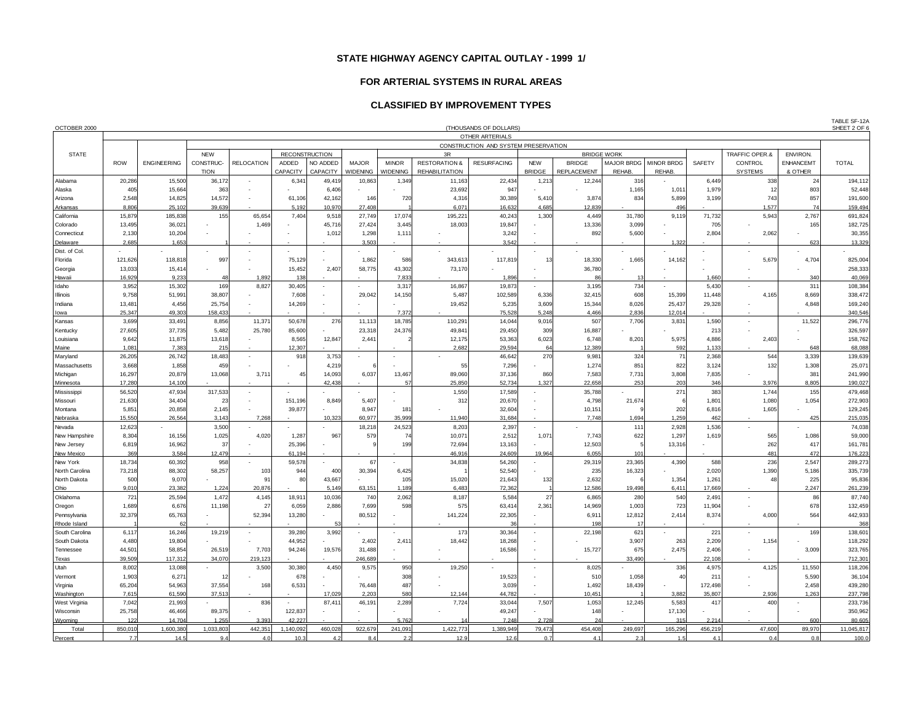#### **FOR ARTERIAL SYSTEMS IN RURAL AREAS**

#### **CLASSIFIED BY IMPROVEMENT TYPES**

| OCTOBER 2000            | (THOUSANDS OF DOLLARS)                                  |                    |                          |                   |           |                       |                 |                 |                          |                    |                          |                    |            | SHEET 2 OF 6      |              |                |                  |                    |
|-------------------------|---------------------------------------------------------|--------------------|--------------------------|-------------------|-----------|-----------------------|-----------------|-----------------|--------------------------|--------------------|--------------------------|--------------------|------------|-------------------|--------------|----------------|------------------|--------------------|
|                         | OTHER ARTERIALS<br>CONSTRUCTION AND SYSTEM PRESERVATION |                    |                          |                   |           |                       |                 |                 |                          |                    |                          |                    |            |                   |              |                |                  |                    |
|                         |                                                         |                    |                          |                   |           |                       |                 |                 |                          |                    |                          |                    |            |                   |              |                |                  |                    |
| <b>STATE</b>            |                                                         |                    | <b>NEW</b>               |                   |           | <b>RECONSTRUCTION</b> |                 |                 | 3R                       |                    |                          | <b>BRIDGE WORK</b> |            |                   |              | TRAFFIC OPER.& | ENVIRON.         |                    |
|                         | <b>ROW</b>                                              | <b>ENGINEERING</b> | CONSTRUC-                | <b>RELOCATION</b> | ADDED     | NO ADDED              | <b>MAJOR</b>    | <b>MINOR</b>    | <b>RESTORATION &amp;</b> | <b>RESURFACING</b> | <b>NEW</b>               | <b>BRIDGE</b>      | MAJOR BRDG | <b>MINOR BRDG</b> | SAFETY       | <b>CONTROL</b> | <b>ENHANCEMT</b> | <b>TOTAL</b>       |
|                         |                                                         |                    | <b>TION</b>              |                   | CAPACITY  | CAPACITY              | <b>WIDENING</b> | <b>WIDENING</b> | <b>REHABILITATION</b>    |                    | <b>BRIDGE</b>            | REPLACEMENT        | REHAB.     | REHAB.            |              | <b>SYSTEMS</b> | & OTHER          |                    |
| Alabama                 | 20,286                                                  | 15,500             | 36,172                   |                   | 6,34      | 49,419                | 10,863          | 1,349           | 11,163                   | 22,434             | 1,213                    | 12,244             | 316        |                   | 6,449        | 338            | 24               | 194,112            |
| Alaska                  | 405                                                     | 15,664             | 363                      |                   |           | 6,406                 |                 |                 | 23,692                   | 947                |                          |                    | 1,165      | 1,011             | 1,979        | 12             | 803              | 52,448             |
| Arizona                 | 2,548                                                   | 14,825             | 14,572                   |                   | 61,106    | 42,162                | 146             | 720             | 4,316                    | 30,389             | 5,410                    | 3,874              | 834        | 5,899             | 3,199        | 743            | 857              | 191,600            |
| Arkansas                | 8.806                                                   | 25.102             | 39,639                   |                   | 5,192     | 10,970                | 27,408          |                 | 6.071                    | 16.632             | 4.685                    | 12.839             |            | 496               |              | 1,577          | 74               | 159,494            |
| California              | 15,879                                                  | 185,838            | 155                      | 65,654            | 7,404     | 9,518                 | 27,749          | 17,074          | 195,221                  | 40,243             | 1,300                    | 4,449              | 31,780     | 9,119             | 71,732       | 5,943          | 2,767            | 691,824            |
| Colorado                | 13,495                                                  | 36,021             |                          | 1,469             |           | 45,716                | 27,424          | 3,445           | 18,003                   | 19,847             |                          | 13,336             | 3,099      |                   | 705          |                | 165              | 182,725            |
| Connecticut             | 2,130                                                   | 10,204             |                          |                   |           | 1,012                 | 1,298           | 1,111           |                          | 3,242              |                          | 892                | 5,600      |                   | 2,804        | 2,062          |                  | 30,355             |
| Delaware                | 2.685                                                   | 1.653              |                          |                   |           |                       | 3.503           |                 |                          | 3.542              |                          |                    |            | 1.322             |              |                | 623              | 13,329             |
| Dist. of Col            |                                                         |                    | $\overline{\phantom{a}}$ |                   |           |                       |                 |                 |                          |                    | ÷                        |                    |            |                   |              |                |                  |                    |
| Florida                 | 121,626                                                 | 118,818            | 997                      |                   | 75,129    |                       | 1,862           | 586             | 343,613                  | 117,819            | 13                       | 18,330             | 1,665      | 14,162            |              | 5,679          | 4,704            | 825,004            |
| Georgia                 | 13,033                                                  | 15,414             |                          |                   | 15,452    | 2,407                 | 58,775          | 43,302          | 73,170                   |                    |                          | 36,780             |            |                   |              |                |                  | 258,333            |
| Hawaii                  | 16,929                                                  | 9,233              | 48                       | 1,892             | 138       |                       |                 | 7,833           |                          | 1,896              |                          | 86                 | 11         |                   | 1,660        |                | 340              | 40,069             |
| Idaho                   | 3,952                                                   | 15,302             | 169                      | 8,827             | 30,405    |                       |                 | 3,317           | 16,867                   | 19,873             |                          | 3,195              | 734        |                   | 5,430        |                | 311              | 108,384            |
| Illinois                | 9,758                                                   | 51,991             | 38,807                   |                   | 7,608     |                       | 29,042          | 14,150          | 5,487                    | 102,589            | 6,336                    | 32,415             | 608        | 15,399            | 11,448       | 4,165          | 8,669            | 338,472            |
| Indiana                 | 13,481                                                  | 4,456              | 25,754                   |                   | 14,269    |                       |                 |                 | 19,452                   | 5,235              | 3,609                    | 15,344             | 8,026      | 25,437            | 29,328       |                | 4,848            | 169,240            |
| lowa                    | 25,347                                                  | 49,303             | 158,433                  |                   |           |                       |                 | 7,372           |                          | 75,528             | 5,248                    | 4,466              | 2,836      | 12,014            |              |                |                  | 340,546            |
| Kansas                  | 3.699                                                   | 33.491             | 8.856                    | 11,371            | 50.678    | 276                   | 11,113          | 18.785          | 110.291                  | 14,044             | 9.016                    | 507                | 7.706      | 3.831             | 1,590        |                | 11.522           | 296.776            |
| Kentucky                | 27,605                                                  | 37,735             | 5,482                    | 25,780            | 85,600    |                       | 23,318          | 24,376          | 49,841                   | 29,450             | 309                      | 16,887             |            |                   | 213          |                |                  | 326,597            |
| Louisiana               | 9,642                                                   | 11,875             | 13,618                   |                   | 8,565     | 12,847                | 2,441           |                 | 12,175                   | 53,363             | 6,023                    | 6,748              | 8,201      | 5,975             | 4,886        | 2,403          |                  | 158,762            |
| Maine                   | 1,081                                                   | 7,383              | 215                      |                   | 12,307    |                       |                 |                 | 2,682                    | 29,594             | 64                       | 12,389             |            | 592               | 1,133        |                | 648              | 68,088             |
| Maryland                | 26,205                                                  | 26,742             | 18,483                   |                   | 918       | 3,753                 |                 |                 |                          | 46,642             | 270                      | 9,981              | 324        | 71                | 2,368        | 544            | 3,339            | 139,639            |
| Massachusetts           | 3,668                                                   | 1,858              | 459                      |                   |           | 4,219                 |                 |                 | 55                       | 7,296              |                          | 1,274              | 851        | 822               | 3,124        | 132            | 1,308            | 25,071             |
| Michigan                | 16,297                                                  | 20,879             | 13,068                   | 3,711             | 45        | 14,093                | 6,037           | 13,467          | 89,060                   | 37,136             | 860                      | 7,583              | 7,731      | 3,808             | 7,835        |                | 381              | 241,990            |
| Minnesota               | 17,280                                                  | 14,100             |                          |                   |           | 42,438                |                 | 57              | 25,850                   | 52,734             | 1,327                    | 22,658             | 253        | 203               | 346          | 3,976          | 8,805            | 190,027            |
| Mississippi             | 56,520                                                  | 47,934             | 317,533                  |                   |           |                       |                 |                 | 1,550                    | 17,589             |                          | 35,788             |            | 271               | 383          | 1,744          | 155              | 479,468            |
| Missouri                | 21,630                                                  | 34,404             | 23                       |                   | 151,196   | 8,849                 | 5,407           |                 | 312                      | 20,670             |                          | 4,798              | 21,674     |                   | 1,801        | 1,080          | 1,054            | 272,903            |
| Montana                 | 5,851<br>15,550                                         | 20,858<br>26,564   | 2,145<br>3,143           | 7,268             | 39,877    | 10,323                | 8,947<br>60,977 | 181<br>35,999   | 11,940                   | 32,604<br>31,684   |                          | 10,151<br>7,748    | 1,694      | 202<br>1,259      | 6,816<br>462 | 1,605          | 425              | 129,245<br>215,035 |
| Nebraska                | 12,623                                                  |                    |                          |                   |           |                       |                 |                 | 8,203                    |                    |                          |                    | 111        | 2,928             | 1,536        |                |                  | 74,038             |
| Nevada<br>New Hampshire | 8,304                                                   | 16,156             | 3,500<br>1,025           | 4,020             | 1,287     | 967                   | 18,218<br>579   | 24,523<br>74    | 10,071                   | 2,397<br>2,512     | 1,07'                    | 7,743              | 622        | 1,297             | 1,619        | 565            | 1,086            | 59,000             |
| New Jersey              | 6,819                                                   | 16,962             | 37                       |                   | 25,396    |                       |                 | 199             | 72,694                   | 13,163             |                          | 12,503             |            | 13,316            |              | 262            | 417              | 161,781            |
| New Mexico              | 369                                                     | 3.584              | 12.479                   |                   | 61,194    |                       |                 |                 | 46.916                   | 24,609             | 19.964                   | 6,055              | 101        |                   |              | 481            | 472              | 176,223            |
| New York                | 18,734                                                  | 60,392             | 958                      |                   | 59,578    |                       | 67              |                 | 34,838                   | 54,260             | ٠                        | 29,319             | 23,365     | 4,390             | 588          | 236            | 2,547            | 289,273            |
| North Carolina          | 73,218                                                  | 88,302             | 58,257                   | 103               | 944       | 400                   | 30,394          | 6,425           |                          | 52,540             |                          | 235                | 16,323     |                   | 2,020        | 1,390          | 5,186            | 335,739            |
| North Dakota            | 500                                                     | 9,070              |                          | 91                | 80        | 43,667                |                 | 105             | 15,020                   | 21,643             | 132                      | 2,632              |            | 1,354             | 1,261        | 48             | 225              | 95,836             |
| Ohio                    | 9,010                                                   | 23,382             | 1,224                    | 20,876            |           | 5,149                 | 63,151          | 1,189           | 6,483                    | 72,362             |                          | 12,586             | 19,498     | 6,411             | 17,669       |                | 2,247            | 261,239            |
| Oklahoma                | 721                                                     | 25,594             | 1,472                    | 4,145             | 18,91     | 10,036                | 740             | 2,062           | 8,187                    | 5,584              | 27                       | 6,865              | 280        | 540               | 2,491        |                | 86               | 87,740             |
| Oregon                  | 1,689                                                   | 6,676              | 11,198                   | 27                | 6,059     | 2,886                 | 7,699           | 598             | 575                      | 63,414             | 2,36'                    | 14,969             | 1,003      | 723               | 11,904       |                | 678              | 132,459            |
| Pennsylvania            | 32,379                                                  | 65,763             |                          | 52,394            | 13,280    |                       | 80,512          |                 | 141,224                  | 22,305             |                          | 6,911              | 12,812     | 2,414             | 8,374        | 4,000          | 564              | 442,933            |
| Rhode Island            |                                                         |                    |                          |                   |           |                       |                 |                 |                          |                    |                          | 198                |            |                   |              |                |                  | 368                |
| South Carolina          | 6,117                                                   | 16,246             | 19,219                   |                   | 39,280    | 3,992                 |                 |                 | 173                      | 30,364             | $\overline{\phantom{a}}$ | 22,198             | 621        |                   | 221          |                | 169              | 138,601            |
| South Dakota            | 4,480                                                   | 19,804             |                          |                   | 44,952    |                       | 2,402           | 2,41            | 18,442                   | 18,268             |                          |                    | 3,907      | 263               | 2,209        | 1,154          |                  | 118,292            |
| Tennessee               | 44,501                                                  | 58,854             | 26,519                   | 7,703             | 94,246    | 19,576                | 31,488          |                 |                          | 16,586             |                          | 15,727             | 675        | 2,475             | 2,406        |                | 3,009            | 323,765            |
| Texas                   | 39,509                                                  | 117,312            | 34,070                   | 219,123           |           |                       | 246,689         |                 |                          |                    |                          |                    | 33,490     |                   | 22,108       |                |                  | 712,301            |
| Utah                    | 8,002                                                   | 13,088             |                          | 3,500             | 30,380    | 4,450                 | 9,575           | 950             | 19,250                   |                    |                          | 8,025              |            | 336               | 4,975        | 4,125          | 11,550           | 118,206            |
| Vermont                 | 1,903                                                   | 6,271              | 12                       |                   | 678       |                       |                 | 308             |                          | 19,523             |                          | 510                | 1,058      | 40                | 21'          |                | 5,590            | 36,104             |
| Virginia                | 65,204                                                  | 54,963             | 37,554                   | 168               | 6,531     |                       | 76,448          | 487             |                          | 3,039              |                          | 1,492              | 18,439     |                   | 172,498      |                | 2,458            | 439,280            |
| Washington              | 7,615                                                   | 61,590             | 37,513                   |                   |           | 17,029                | 2,203           | 580             | 12,144                   | 44,782             |                          | 10,451             |            | 3,882             | 35,807       | 2,936          | 1,263            | 237,798            |
| West Virginia           | 7,042                                                   | 21,993             |                          | 836               |           | 87,41'                | 46,191          | 2,289           | 7,724                    | 33,044             | 7,507                    | 1,053              | 12,245     | 5,583             | 417          | 400            |                  | 233,736            |
| Wisconsin               | 25,758                                                  | 46,466             | 89,375                   |                   | 122,837   |                       |                 |                 |                          | 49,247             |                          | 148                |            | 17,130            |              |                |                  | 350,962            |
| Wyoming                 | 122                                                     | 14,704             | 1.255                    | 3.393             | 42.227    |                       |                 | 5,762           |                          | 7,248              | 2.728                    | 24                 |            | 315               | 2.21         |                | 600              | 80,605             |
| Total                   | 850,010                                                 | 1,600,380          | 1,033,803                | 442,351           | 1,140,092 | 460,028               | 922,679         | 241,091         | 1,422,773                | 1,389,949          | 79,473                   | 454,408            | 249,697    | 165,296           | 456,219      | 47,600         | 89,970           | 11,045,817         |
| Percent                 | 7.7                                                     | 14.5               | 9.4                      | 4.0               | 10.3      | 4.2                   | 8.4             | 2.2             | 12.9                     | 12.6               | 0.7                      | 4.1                | 2.3        | 1.5               | 4.1          | 0.4            | 0.8              | 100.0              |

TABLE SF-12A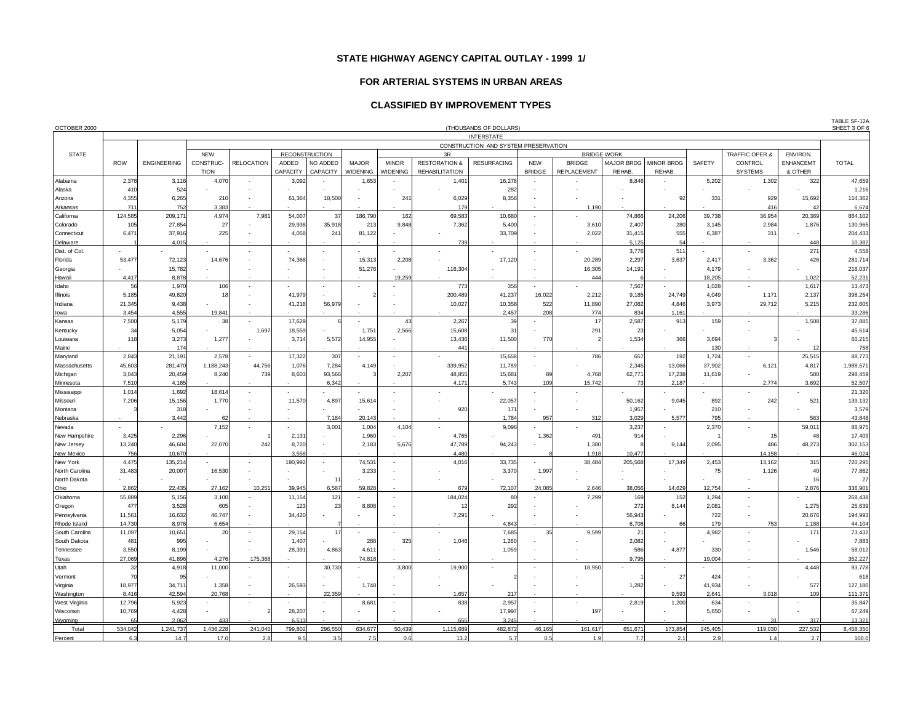#### **FOR ARTERIAL SYSTEMS IN URBAN AREAS**

## **CLASSIFIED BY IMPROVEMENT TYPES**

| OCTOBER 2000      | (THOUSANDS OF DOLLARS)                                    |                    |                          |                          |          |                       |                 |                          |                          |                    |               |                    |            | SHEET 3 OF 6 |             |                |                  |                  |
|-------------------|-----------------------------------------------------------|--------------------|--------------------------|--------------------------|----------|-----------------------|-----------------|--------------------------|--------------------------|--------------------|---------------|--------------------|------------|--------------|-------------|----------------|------------------|------------------|
|                   | <b>INTERSTATE</b><br>CONSTRUCTION AND SYSTEM PRESERVATION |                    |                          |                          |          |                       |                 |                          |                          |                    |               |                    |            |              |             |                |                  |                  |
|                   |                                                           |                    |                          |                          |          |                       |                 |                          |                          |                    |               |                    |            |              |             |                |                  |                  |
| <b>STATE</b>      |                                                           |                    | <b>NEW</b>               |                          |          | <b>RECONSTRUCTION</b> |                 |                          | 3R                       |                    |               | <b>BRIDGE WORK</b> |            |              |             | TRAFFIC OPER.& | ENVIRON.         |                  |
|                   | <b>ROW</b>                                                | <b>ENGINEERING</b> | CONSTRUC-                | <b>RELOCATION</b>        | ADDED    | NO ADDED              | <b>MAJOR</b>    | <b>MINOR</b>             | <b>RESTORATION &amp;</b> | <b>RESURFACING</b> | <b>NEW</b>    | <b>BRIDGE</b>      | MAJOR BRDG | MINOR BRDG   | SAFETY      | CONTROL        | <b>ENHANCEMT</b> | <b>TOTAL</b>     |
|                   |                                                           |                    | <b>TION</b>              |                          | CAPACITY | CAPACITY              | <b>WIDENING</b> | <b>WIDENING</b>          | <b>REHABILITATION</b>    |                    | <b>BRIDGE</b> | <b>REPLACEMENT</b> | REHAB.     | REHAB.       |             | <b>SYSTEMS</b> | & OTHER          |                  |
| Alabama           | 2,378                                                     | 3,116              | 4,070                    |                          | 3,092    |                       | 1,653           |                          | 1,401                    | 16,278             |               |                    | 8,846      |              | 5,202       | 1,302          | 322              | 47,659           |
| Alaska            | 410                                                       | 524                |                          |                          |          |                       |                 |                          |                          | 282                |               |                    |            |              |             |                |                  | 1,216            |
| Arizona           | 4,355                                                     | 6,265              | 210                      |                          | 61,364   | 10,500                |                 | 241                      | 6,029                    | 8,356              | ٠             |                    |            | 92           | 331         | 929            | 15,692           | 114,362          |
| Arkansas          | 711                                                       | 752                | 3.383                    |                          |          |                       |                 |                          | 179                      |                    |               | 1,190              |            |              |             | 416            | $\Delta$         | 6,674            |
| California        | 124,585                                                   | 209,171            | 4,974                    | 7,981                    | 54,007   | 37                    | 186,790         | 162                      | 69,583                   | 10,680             | ÷.            |                    | 74,866     | 24,206       | 39,738      | 36,954         | 20,369           | 864,102          |
| Colorado          | 105                                                       | 27,854             | 27                       |                          | 29,938   | 35,918                | 213             | 9,848                    | 7,362                    | 5,400              |               | 3,610              | 2,407      | 280          | 3,145       | 2,984          | 1,876            | 130,965          |
| Connecticut       | 6,471                                                     | 37,916             | 225                      |                          | 4,058    | 241                   | 81,122          |                          |                          | 33,709             | ٠             | 2,022              | 31,415     | 555          | 6,387       | 311            |                  | 204,433          |
| Delaware          |                                                           | 4.015              |                          |                          |          |                       |                 |                          | 739                      |                    |               |                    | 5,125      | 54           |             |                | 448              | 10,382           |
| Dist. of Col      |                                                           |                    | $\overline{\phantom{a}}$ | $\overline{\phantom{a}}$ |          |                       |                 |                          |                          |                    | $\sim$        |                    | 3,776      | 511          |             |                | 27 <sup>1</sup>  | 4,558            |
| Florida           | 53,477                                                    | 72,123             | 14,676                   |                          | 74,368   |                       | 15,313          | 2,208                    |                          | 17,120             | ä,            | 20,289             | 2,297      | 3,637        | 2,417       | 3,362          | 426              | 281,714          |
| Georgia           |                                                           | 15,782             |                          |                          |          |                       | 51,276          |                          | 116,304                  |                    |               | 16,305             | 14,191     |              | 4,179       |                |                  | 218,037          |
| Hawaii            | 4,417                                                     | 8,878              |                          |                          |          |                       |                 | 19,259                   |                          |                    |               | 444                |            |              | 18,205      |                | 1,022            | 52,231           |
| Idaho             | 56                                                        | 1,970              | 106                      |                          |          |                       |                 |                          | 773                      | 356                | ÷.            |                    | 7,567      |              | 1,028       |                | 1,617            | 13,473           |
| Illinois          | 5,185                                                     | 49,820             | 18                       |                          | 41,979   |                       |                 |                          | 200,489                  | 41,237             | 16,022        | 2,212              | 9,185      | 24,749       | 4,049       | 1,171          | 2,137            | 398,254          |
| Indiana           | 21,345                                                    | 9,438              |                          |                          | 41,218   | 56,979                |                 |                          | 10,027                   | 10,358             | 522           | 11,890             | 27,082     | 4,846        | 3,973       | 29,712         | 5,215            | 232,605          |
| lowa              | 3,454                                                     | 4,555              | 19,84                    |                          |          |                       |                 |                          |                          | 2,457              | 208           | 774                | 834        | 1,161        |             |                |                  | 33,286           |
| Kansas            | 7.500                                                     | 5.179              | 38                       |                          | 17.629   |                       |                 | 43                       | 2.267                    | 39                 | $\sim$        | 17                 | 2,587      | 913          | 159         |                | 1,508            | 37,885           |
| Kentucky          | 34                                                        | 5,054              |                          | 1,697                    | 18,559   |                       | 1,751           | 2,566                    | 15,608                   | 31                 |               | 291                | 23         |              |             |                |                  | 45,614           |
| Louisiana         | 118                                                       | 3,273              | 1,277                    |                          | 3,714    | 5,572                 | 14,955          |                          | 13,436                   | 11,500             | 770           |                    | 1,534      | 366          | 3,694       |                |                  | 60,215           |
|                   |                                                           | 174                |                          |                          |          |                       |                 |                          | 441                      |                    |               |                    |            |              | 130         |                |                  | 758              |
| Maine<br>Maryland | 2,843                                                     | 21,191             | 2,578                    |                          | 17,322   | 307                   |                 |                          |                          | 15,658             | ÷             | 786                | 657        | 192          | 1,724       |                | 25,515           | 88,773           |
|                   | 45,603                                                    |                    | 1,188,243                | 44,756                   | 1,076    | 7,284                 |                 |                          | 339,952                  | 11,789             |               |                    |            | 13,066       | 37,902      | 6,121          | 4,817            | 1,988,571        |
| Massachusetts     |                                                           | 281,470            |                          |                          |          |                       | 4,149           |                          |                          |                    |               |                    | 2,345      |              |             |                |                  |                  |
| Michigan          | 3,043                                                     | 20,459             | 8,240                    | 739                      | 8,603    | 93,566                |                 | 2,207                    | 48,855                   | 15,681             | 89            | 4,768              | 62,771     | 17,238       | 11,619      |                | 580              | 298,459          |
| Minnesota         | 7,510                                                     | 4,165              |                          |                          |          | 6,342                 |                 |                          | 4,171                    | 5,743              | 109           | 15,742             | 7:         | 2,187        |             | 2,774          | 3,692            | 52,507           |
| Mississippi       | 1,014                                                     | 1,692              | 18,614                   |                          |          |                       |                 |                          |                          |                    |               |                    |            |              |             |                |                  | 21,320           |
| Missouri          | 7,206                                                     | 15,156             | 1,770                    |                          | 11,570   | 4,897                 | 15,614          |                          |                          | 22,057             |               |                    | 50,162     | 9,045        | 892         | 242            | 521              | 139,132<br>3,579 |
| Montana           |                                                           | 318                |                          |                          |          |                       |                 |                          | 920                      | 17 <sup>1</sup>    |               |                    | 1,957      |              | 210         |                |                  |                  |
| Nebraska          |                                                           | 3,442              | 62                       |                          |          | 7,184                 | 20,143          |                          |                          | 1,784              | 957           | 312                | 3,029      | 5,577        | 795         |                | 563              | 43,848           |
| Nevada            |                                                           |                    | 7,152                    |                          |          | 3,001                 | 1,004           | 4,104                    |                          | 9,096              |               |                    | 3,237      |              | 2,370       |                | 59,01            | 88,975           |
| New Hampshire     | 3,425                                                     | 2,296              |                          | 242                      | 2,131    |                       | 1,960<br>2.183  |                          | 4,765                    | 94.243             | 1,362         | 491                | 914        | 9.144        |             | 15<br>486      | 48               | 17,409           |
| New Jersey        | 13,240                                                    | 46,604             | 22,070                   |                          | 8,720    |                       |                 | 5,676                    | 47,789                   |                    |               | 1,380              |            |              | 2,095       | 14.158         | 48,273           | 302,153          |
| <b>New Mexico</b> | 756                                                       | 10.670             |                          |                          | 3,558    |                       |                 |                          | 4.480                    |                    |               | 1,918              | 10,477     |              |             |                |                  | 46,024           |
| New York          | 4,475                                                     | 135,214            |                          |                          | 190,992  |                       | 74,531          | $\overline{\phantom{a}}$ | 4,016                    | 33,735             |               | 38,484             | 205,568    | 17,349       | 2,453<br>75 | 13,162         | 315              | 720,295          |
| North Carolina    | 31,483                                                    | 20,007             | 16,530                   |                          |          |                       | 3,233           |                          |                          | 3,370              | 1,997         |                    |            |              |             | 1,126          | 40               | 77,862           |
| North Dakota      |                                                           |                    |                          |                          |          | $1^{\circ}$           |                 |                          |                          |                    |               |                    |            |              |             |                | 16               | 27               |
| Ohio              | 2,862                                                     | 22,435             | 27,162                   | 10,251                   | 39,945   | 6,587                 | 59,828          |                          | 679                      | 72,107             | 24,085        | 2,646              | 38,056     | 14,629       | 12,754      |                | 2,876            | 336,901          |
| Oklahoma          | 55,889                                                    | 5,156              | 3,100                    |                          | 11,154   | 121                   |                 |                          | 184,024                  | 80                 |               | 7,299              | 169        | 152          | 1,294       |                |                  | 268,438          |
| Oregon            | 477                                                       | 3,528              | 605                      |                          | 123      | 23                    | 8,808           |                          | 12                       | 292                |               |                    | 272        | 8,144        | 2,08        |                | 1,275            | 25,639           |
| Pennsylvania      | 11,561                                                    | 16,632             | 46,747                   |                          | 34,420   |                       |                 |                          | 7,291                    |                    |               |                    | 56,943     |              | 722         |                | 20,676           | 194,993          |
| Rhode Island      | 14.730                                                    | 8,976              | 6,654                    |                          |          |                       |                 |                          |                          | 4.843              |               |                    | 6,708      | 6F           | 179         | 753            | 1,188            | 44,104           |
| South Carolina    | 11,097                                                    | 10,651             | 20                       |                          | 29,154   | 17                    |                 |                          | $\sim$                   | 7,685              | 35            | 9,599              | 21         |              | 4,982       |                | 171              | 73,432           |
| South Dakota      | 481                                                       | 995                |                          |                          | 1,407    |                       | 288             | 325                      | 1,046                    | 1,260              |               |                    | 2,082      |              |             |                |                  | 7,883            |
| Tennessee         | 3,550                                                     | 8,199              |                          |                          | 28,391   | 4,863                 | 4,61            |                          |                          | 1,059              |               |                    | 586        | 4.877        | 330         |                | 1,546            | 58,012           |
| <b>Texas</b>      | 27,069                                                    | 41,896             | 4,276                    | 175,368                  |          |                       | 74,818          |                          |                          |                    |               |                    | 9,795      |              | 19,004      |                |                  | 352,227          |
| Utah              | 32                                                        | 4,918              | 11,000                   |                          |          | 30,730                |                 | 3,800                    | 19,900                   |                    |               | 18,950             |            |              |             |                | 4,448            | 93,778           |
| Vermont           | 70                                                        | 95                 |                          |                          |          |                       |                 |                          |                          |                    |               |                    |            | 27           | 424         |                |                  | 618              |
| Virginia          | 18,977                                                    | 34,711             | 1,358                    |                          | 26,593   |                       | 1,748           |                          |                          |                    |               |                    | 1,282      |              | 41,934      |                | 577              | 127,180          |
| Washington        | 8,416                                                     | 42,594             | 20,768                   |                          |          | 22,359                |                 |                          | 1,657                    | 217                |               |                    |            | 9,593        | 2,641       | 3,018          | 109              | 111,371          |
| West Virginia     | 12,796                                                    | 5,923              |                          |                          |          |                       | 8,68            |                          | 838                      | 2,957              | ä,            |                    | 2,819      | 1,200        | 634         |                |                  | 35,847           |
| Wisconsin         | 10,769                                                    | 4,428              |                          |                          | 28,207   |                       |                 |                          |                          | 17,997             |               | 197                |            |              | 5,650       |                |                  | 67,249           |
| Wyoming           | 65                                                        | 2.062              | 433                      |                          | 6,513    |                       |                 |                          | 655                      | 3.245              |               |                    |            |              |             | 31             | 317              | 13,321           |
| Total             | 534,042                                                   | 1,241,737          | 1,436,228                | 241,040                  | 799,802  | 296,550               | 634,677         | 50,439                   | 1,115,689                | 482,872            | 46,165        | 161,617            | 651,671    | 173,854      | 245,405     | 119,030        | 227,532          | 8,458,350        |
| Percent           | 6.3                                                       | 14.7               | 17.0                     | 2.8                      | 9.5      | 3.5                   | 7.5             | 0.6                      | 13.2                     | 5.7                | 0.5           | 1.9                | 7.7        | 2.1          | 2.9         | 1.4            | 2.7              | 100.0            |

TABLE SF-12A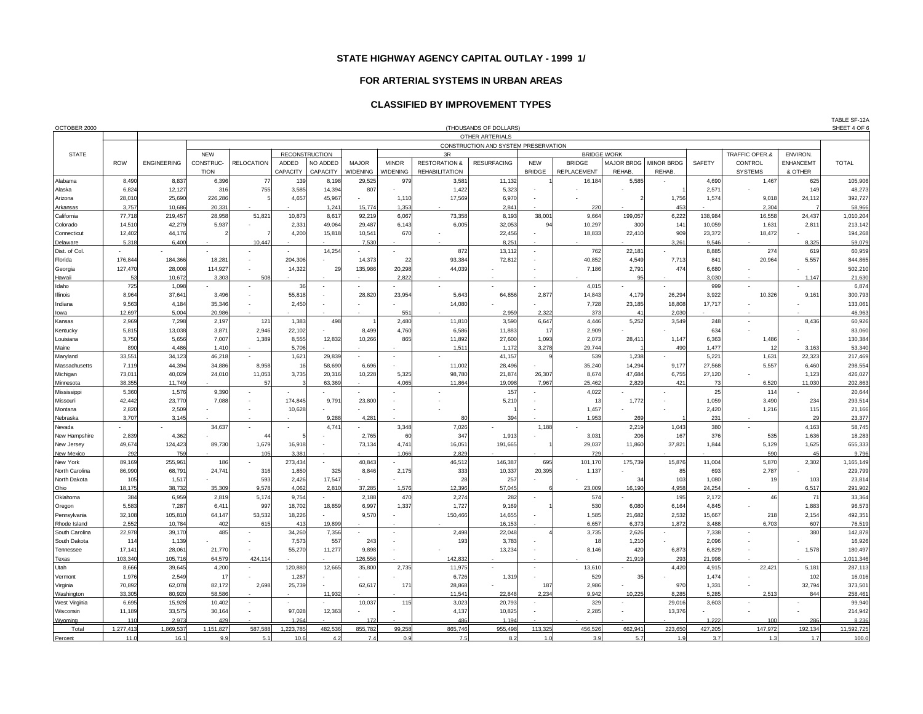### **FOR ARTERIAL SYSTEMS IN URBAN AREAS**

### **CLASSIFIED BY IMPROVEMENT TYPES**

| OCTOBER 2000               |                       |                    |                 |                   |                  |                       |                  |                 |                          | (THOUSANDS OF DOLLARS)               |                          |                    |                    |                   |                   |                 |                  | TABLE SF-12A<br>SHEET 4 OF |
|----------------------------|-----------------------|--------------------|-----------------|-------------------|------------------|-----------------------|------------------|-----------------|--------------------------|--------------------------------------|--------------------------|--------------------|--------------------|-------------------|-------------------|-----------------|------------------|----------------------------|
|                            |                       |                    |                 |                   |                  |                       |                  |                 |                          | OTHER ARTERIALS                      |                          |                    |                    |                   |                   |                 |                  |                            |
|                            |                       |                    |                 |                   |                  |                       |                  |                 |                          | CONSTRUCTION AND SYSTEM PRESERVATION |                          |                    |                    |                   |                   |                 |                  |                            |
| <b>STATE</b>               |                       |                    | <b>NEW</b>      |                   |                  | <b>RECONSTRUCTION</b> |                  |                 | 3R                       |                                      |                          |                    | <b>BRIDGE WORK</b> |                   |                   | TRAFFIC OPER.&  | <b>ENVIRON.</b>  |                            |
|                            | <b>ROW</b>            | <b>ENGINEERING</b> | CONSTRUC-       | <b>RELOCATION</b> | <b>ADDED</b>     | NO ADDED              | <b>MAJOR</b>     | <b>MINOR</b>    | <b>RESTORATION &amp;</b> | <b>RESURFACING</b>                   | <b>NEW</b>               | <b>BRIDGE</b>      | MAJOR BRDG Í       | <b>MINOR BRDG</b> | SAFETY            | CONTROL         | <b>ENHANCEM1</b> | <b>TOTAL</b>               |
|                            |                       |                    | <b>TION</b>     |                   | CAPACITY         | CAPACITY              | <b>WIDENING</b>  | <b>WIDENING</b> | <b>REHABILITATION</b>    |                                      | <b>BRIDGE</b>            | <b>REPLACEMENT</b> | <b>REHAB</b>       | REHAB.            |                   | <b>SYSTEMS</b>  | & OTHER          |                            |
| Alabama                    | 8,490                 | 8,837              | 6,396           | 77                | 139              | 8,198                 | 29,525           | 979             | 3,581                    | 11,132                               |                          | 16,184             | 5,585              |                   | 4,690             | 1,467           | 625              | 105,906                    |
| Alaska                     | 6,824                 | 12,127             | 316             | 755               | 3,585            | 14,394                | 807              |                 | 1,422                    | 5,323                                |                          |                    |                    |                   | 2,571             |                 | 149              | 48,273                     |
| Arizona                    | 28,010                | 25,690             | 226,286         |                   | 4,657            | 45,967                |                  | 1,110           | 17,569                   | 6,970                                |                          |                    |                    | 1,756             | 1,574             | 9,018           | 24,112           | 392,727                    |
| Arkansas                   | 3,757                 | 10,686             | 20,33'          |                   |                  | 1,241                 | 15.774           | 1,353           |                          | 2,84                                 |                          | 220                |                    | 453               |                   | 2.304           |                  | 58,966                     |
| California<br>Colorado     | 77,718<br>14,510      | 219,457<br>42,279  | 28,958<br>5,937 | 51,821            | 10,873<br>2,331  | 8,617<br>49,064       | 92,219<br>29,487 | 6,067<br>6,143  | 73,358<br>6,005          | 8,193<br>32,053                      | $38,00^{\circ}$<br>94    | 9,664<br>10,297    | 199,057<br>300     | 6,222<br>141      | 138,984<br>10,059 | 16,558<br>1,631 | 24,437<br>2,811  | 1,010,204<br>213,142       |
| Connecticut                | 12,402                | 44,176             |                 |                   | 4.200            | 15,818                | 10,541           | 670             |                          | 22,456                               |                          | 18,833             | 22,410             | 909               | 23,372            | 18,472          |                  | 194,268                    |
| Delaware                   | 5,318                 | 6.400              |                 | 10.447            |                  |                       | 7,530            |                 |                          | 8,25'                                |                          |                    |                    | 3.261             | 9,546             |                 | 8.325            | 59,079                     |
| Dist. of Col.              | $\tilde{\phantom{a}}$ |                    |                 |                   |                  | 14,254                |                  | $\sim$          | 872                      | 13,112                               | ٠                        | 762                | 22,181             |                   | 8,885             | 274             | 619              | 60,959                     |
| Florida                    | 176,844               | 184.366            | 18.281          |                   | 204.306          |                       | 14,373           | 22              | 93.384                   | 72,812                               |                          | 40.852             | 4,549              | 7,713             | 841               | 20,964          | 5,557            | 844,865                    |
| Georgia                    | 127,470               | 28,008             | 114,927         |                   | 14,322           | 29                    | 135,986          | 20,298          | 44,039                   |                                      |                          | 7,186              | 2,791              | 474               | 6,680             |                 |                  | 502,210                    |
| Hawaii                     | 53                    | 10,672             | 3,303           | 508               |                  |                       |                  | 2,822           |                          |                                      |                          |                    |                    |                   | 3,030             |                 | 1,147            | 21,630                     |
| Idaho                      | 725                   | 1,098              |                 |                   | 36               |                       |                  |                 |                          |                                      |                          | 4,015              |                    |                   | 999               |                 |                  | 6,874                      |
| <b>Illinois</b>            | 8,964                 | 37,641             | 3.496           |                   | 55,818           |                       | 28.820           | 23,954          | 5,643                    | 64,856                               | 2,877                    | 14,843             | 4,179              | 26.294            | 3,922             | 10,326          | 9,161            | 300,793                    |
| Indiana                    | 9,563                 | 4,184              | 35,346          |                   | 2,450            |                       |                  |                 | 14,080                   |                                      |                          | 7,728              | 23,185             | 18,808            | 17,717            |                 |                  | 133,061                    |
| lowa                       | 12.697                | 5.004              | 20.986          |                   |                  |                       |                  | 551             |                          | 2.95                                 | 2.322                    | 373                | $\mathbf{A}$ 1     | 2.030             |                   |                 |                  | 46,963                     |
| Kansas                     | 2,969                 | 7,298              | 2.197           | 121               | 1,383            | 498                   |                  | 2.480           | 11,810                   | 3,590                                | 6,647                    | 4.446              | 5,252              | 3,549             | 248               |                 | 8.436            | 60,926                     |
| Kentucky                   | 5.815                 | 13.038             | 3.871           | 2.946<br>1,389    | 22.102           | 12,832                | 8.499<br>10,266  | 4,760<br>865    | 6.586                    | 11.883                               | 17<br>1,093              | 2.909              |                    |                   | 634               |                 |                  | 83,060                     |
| Louisiana                  | 3,750<br>890          | 5,656<br>4.486     | 7,007<br>1.41(  |                   | 8,555            |                       |                  |                 | 11,892<br>1,511          | 27,600                               | 3,278                    | 2,073<br>29,744    | 28,411             | 1,147<br>490      | 6,363             | 1,486           | 3.16             | 130,384                    |
| Maine<br>Maryland          | 33,551                | 34,123             | 46,218          |                   | 5,706<br>1,621   | 29,839                |                  | $\sim$          |                          | 1,172<br>41,157                      |                          | 539                | 1,238              |                   | 1,477<br>5,221    | 1,631           | 22,323           | 53,340<br>217,469          |
| Massachusetts              | 7,119                 | 44,394             | 34,886          | 8,958             | 16               | 58,690                | 6,696            |                 | 11,002                   | 28,496                               |                          | 35,240             | 14,294             | 9,177             | 27,568            | 5,557           | 6,460            | 298,554                    |
| Michigan                   | 73,011                | 40,029             | 24,010          | 11,053            | 3,735            | 20,316                | 10,228           | 5,325           | 98,780                   | 21,874                               | 26,307                   | 8,674              | 47,684             | 6,755             | 27,120            |                 | 1,123            | 426,027                    |
| Minnesota                  | 38.355                | 11.749             |                 | 57                |                  | 63,369                |                  | 4.065           | 11.864                   | 19,098                               | 7,967                    | 25.462             | 2.829              | 421               | 73                | 6,520           | 11.030           | 202,863                    |
| Mississippi                | 5,360                 | 1,576              | 9,390           |                   |                  |                       |                  |                 |                          | 157                                  |                          | 4,022              |                    |                   | 25                | 114             |                  | 20,644                     |
| Missouri                   | 42,442                | 23,770             | 7,088           |                   | 174.845          | 9,791                 | 23,800           |                 |                          | 5,210                                |                          | 13                 | 1,772              |                   | 1,059             | 3,490           | 234              | 293,514                    |
| Montana                    | 2.820                 | 2.509              |                 |                   | 10,628           |                       |                  |                 |                          |                                      |                          | 1.457              |                    |                   | 2,420             | 1.216           | 115              | 21,166                     |
| Nebraska                   | 3,707                 | 3,145              |                 |                   |                  | 9,288                 | 4,281            |                 | 80                       | 394                                  |                          | 1,953              | 269                |                   | 231               |                 | 29               | 23,377                     |
| Nevada                     |                       |                    | 34,637          |                   |                  | 4,741                 |                  | 3,348           | 7,026                    |                                      | 1,188                    |                    | 2,219              | 1,043             | 380               |                 | 4,163            | 58,745                     |
| New Hampshire              | 2,839                 | 4,362              |                 | $\Delta$          |                  |                       | 2,765            | 60              | 347                      | 1,913                                |                          | 3,031              | 206                | 167               | 376               | 535             | 1,636            | 18,283                     |
| New Jersey                 | 49,674                | 124,423            | 89,730          | 1,679             | 16,918           |                       | 73,134           | 4,741           | 16,051                   | 191,665                              |                          | 29,037             | 11,860             | 37,821            | 1,844             | 5,129           | 1,625            | 655,333                    |
| <b>New Mexico</b>          | 292                   | 759                |                 | 105               | 3,38'            |                       |                  | 1,066           | 2,829                    |                                      |                          | 729                |                    |                   |                   | 590             | 45               | 9,796                      |
| New York<br>North Carolina | 89,169<br>86,990      | 255,961<br>68,791  | 186<br>24,741   | 316               | 273,434<br>1,850 | 325                   | 40,843<br>8,846  | 2,175           | 46,512<br>333            | 146,387<br>10,337                    | 695<br>20.395            | 101,170<br>1,137   | 175,739            | 15,876<br>85      | 11,004<br>693     | 5,870<br>2,787  | 2,302            | 1,165,149<br>229,799       |
| North Dakota               | 105                   | 1,517              |                 | 593               | 2.426            | 17,547                |                  |                 | 28                       | 257                                  |                          |                    | 34                 | 103               | 1.080             | 19              | 103              | 23,814                     |
| Ohio                       | 18,175                | 38,732             | 35,309          | 9,578             | 4,062            | 2,810                 | 37,285           | 1,576           | 12,396                   | 57,045                               |                          | 23,009             | 16,190             | 4,958             | 24,254            |                 | 6,517            | 291,902                    |
| Oklahoma                   | 384                   | 6,959              | 2,819           | 5,174             | 9,754            |                       | 2,188            | 470             | 2,274                    | 282                                  |                          | 574                |                    | 195               | 2,172             | 46              | 71               | 33,364                     |
| Oregon                     | 5,583                 | 7,287              | 6,411           | 997               | 18,702           | 18,859                | 6,997            | 1,337           | 1,727                    | 9,169                                |                          | 530                | 6,080              | 6,164             | 4,845             |                 | 1,883            | 96,573                     |
| Pennsylvania               | 32,108                | 105,810            | 64,147          | 53,532            | 18,226           |                       | 9,570            |                 | 150,466                  | 14,655                               |                          | 1,585              | 21,682             | 2,532             | 15,667            | 218             | 2,154            | 492,351                    |
| Rhode Island               | 2,552                 | 10,784             | 402             | 615               | 413              | 19,899                |                  |                 |                          | 16,153                               |                          | 6,657              | 6,373              | 1.872             | 3,488             | 6,703           | 607              | 76,519                     |
| South Carolina             | 22,978                | 39,170             | 485             |                   | 34,260           | 7,356                 |                  | $\sim$          | 2,498                    | 22,048                               |                          | 3,735              | 2,626              |                   | 7,338             |                 | 380              | 142,878                    |
| South Dakota               | 114                   | 1,139              |                 |                   | 7,573            | 557                   | 243              |                 | 193                      | 3,783                                |                          | 18                 | 1,210              |                   | 2,096             |                 |                  | 16,926                     |
| Tennessee                  | 17,141                | 28,061             | 21,770          |                   | 55,270           | 11.277                | 9,898            |                 |                          | 13.234                               |                          | 8.146              | 420                | 6.873             | 6,829             |                 | 1.578            | 180,497                    |
| Texas                      | 103.340               | 105.716            | 64.579          | 424.114           |                  |                       | 126,556          |                 | 142.83                   |                                      |                          |                    | 21.919             | 293               | 21,998            |                 |                  | 1,011,346                  |
| Utah                       | 8,666                 | 39,645             | 4,200           |                   | 120,880          | 12,665                | 35,800           | 2,735           | 11,975                   |                                      |                          | 13,610             |                    | 4,420             | 4,915             | 22,42'          | 5,181            | 287,113                    |
| Vermont                    | 1,976<br>70,892       | 2,549<br>62,078    | 17<br>82,172    | 2,698             | 1,287<br>25,739  |                       | 62,617           | 171             | 6,726<br>28,868          | 1,319                                | 187                      | 529<br>2,986       | 35                 | 970               | 1,474<br>1,331    |                 | 102<br>32,794    | 16,016                     |
| Virginia<br>Washington     | 33,305                | 80,920             | 58,586          |                   |                  | 11,932                |                  |                 | 11,541                   | 22,848                               | 2,234                    | 9,942              | 10,225             | 8,285             | 5,285             | 2,513           | 844              | 373,50<br>258,461          |
| West Virginia              | 6,695                 | 15,928             | 10,402          |                   |                  |                       | 10,037           | 115             | 3,023                    | 20,793                               | $\overline{\phantom{a}}$ | 329                |                    | 29,016            | 3,603             |                 |                  | 99,940                     |
| Wisconsin                  | 11,189                | 33,575             | 30.164          |                   | 97,028           | 12.363                |                  |                 | 4.137                    | 10,825                               |                          | 2.285              |                    | 13.376            |                   |                 |                  | 214,942                    |
| Wyoming                    | 110                   | 2.973              | 429             |                   | 1,264            |                       | 172              |                 | 486                      | 1.194                                |                          |                    |                    |                   | 1.222             | 100             | 286              | 8,236                      |
| Total                      | 1.277.413             | 1.869.537          | 1,151,827       | 587.588           | 1.223.785        | 482.536               | 855,782          | 99.258          | 865.746                  | 955.498                              | 113.325                  | 456.526            | 662.941            | 223.650           | 427,205           | 147.972         | 192.134          | 11,592,725                 |
| Percent                    | 11.0                  | 16.1               | q q             | 5.1               | 10.6             | 4.2                   | 74               | 0.9             | 7.5                      | 82                                   | 1.0                      | 3.9                | 5.7                | 1 <sup>c</sup>    | 3.7               | 1.3             | 1.7              | 100.0                      |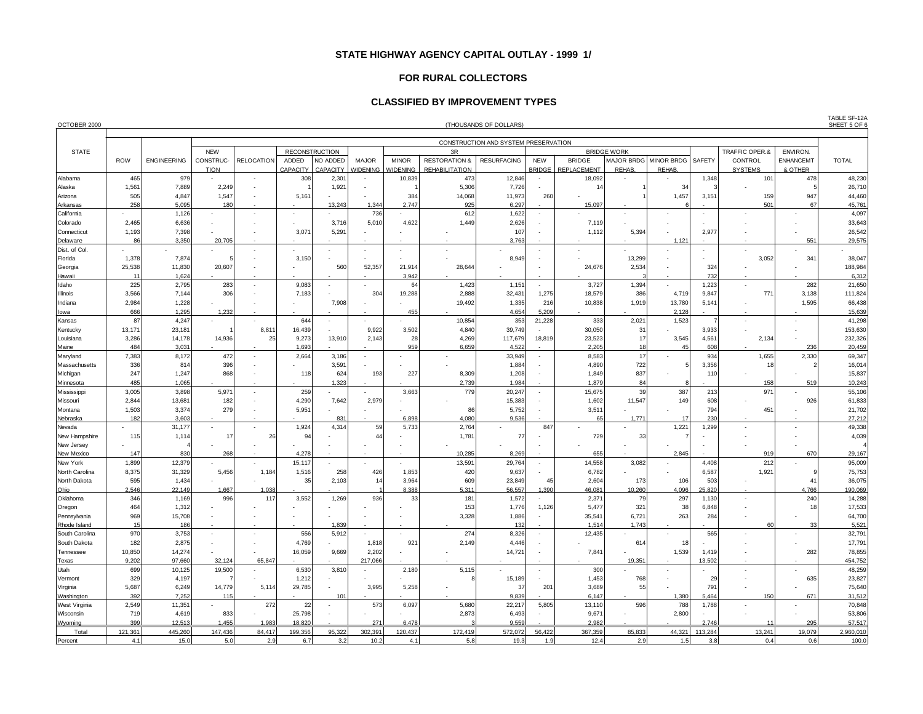### **FOR RURAL COLLECTORS**

### **CLASSIFIED BY IMPROVEMENT TYPES**

| OCTOBER 2000                   | (THOUSANDS OF DOLLARS) |                    |                          |                          |                   |                          |                                 |                                 |                                                   |                                      |                             |                                     |                    | SHEET 5 OF 6                    |         |                           |                             |                  |
|--------------------------------|------------------------|--------------------|--------------------------|--------------------------|-------------------|--------------------------|---------------------------------|---------------------------------|---------------------------------------------------|--------------------------------------|-----------------------------|-------------------------------------|--------------------|---------------------------------|---------|---------------------------|-----------------------------|------------------|
|                                |                        |                    |                          |                          |                   |                          |                                 |                                 |                                                   | CONSTRUCTION AND SYSTEM PRESERVATION |                             |                                     |                    |                                 |         |                           |                             |                  |
| <b>STATE</b>                   |                        |                    | <b>NEW</b>               |                          |                   | <b>RECONSTRUCTION</b>    |                                 |                                 | 3R                                                |                                      |                             |                                     | <b>BRIDGE WORK</b> |                                 |         | TRAFFIC OPER.&            | <b>ENVIRON.</b>             |                  |
|                                | <b>ROW</b>             | <b>ENGINEERING</b> | CONSTRUC-<br><b>TION</b> | <b>RELOCATION</b>        | ADDED<br>CAPACITY | NO ADDED<br>CAPACITY     | <b>MAJOR</b><br><b>VIDENING</b> | <b>MINOR</b><br><b>NIDENING</b> | <b>RESTORATION &amp;</b><br><b>REHABILITATION</b> | <b>RESURFACING</b>                   | <b>NEW</b><br><b>BRIDGE</b> | <b>BRIDGE</b><br><b>REPLACEMENT</b> | REHAB.             | MAJOR BRDG MINOR BRDG<br>REHAB. | SAFETY  | CONTROL<br><b>SYSTEMS</b> | <b>ENHANCEM1</b><br>& OTHER | <b>TOTAL</b>     |
| Alabama                        | 465                    | 979                |                          | $\overline{\phantom{a}}$ | 308               | 2,301                    |                                 | 10,839                          | 473                                               | 12,846                               |                             | 18,092                              | ٠                  |                                 | 1,348   | 101                       | 478                         | 48,230           |
| Alaska                         | 1,561                  | 7,889              | 2,249                    |                          |                   | 1,921                    |                                 |                                 | 5,306                                             | 7,726                                |                             | 14                                  |                    | 34                              |         |                           |                             | 26,710           |
| Arizona                        | 505                    | 4,847              | 1,547                    |                          | 5,161             |                          |                                 | 384                             | 14,068                                            | 11,973                               | 260                         |                                     |                    | 1,457                           | 3,151   | 159                       | 947                         | 44,460           |
| Arkansas                       | 258                    | 5,095              | 180                      |                          |                   | 13,243                   | 1,344                           | 2,747                           | 925                                               | 6,297                                |                             | 15,097                              |                    |                                 |         | 501                       | 67                          | 45,761           |
| California                     |                        | 1,126              |                          | $\overline{a}$           | $\sim$            |                          | 736                             |                                 | 612                                               | 1,622                                |                             |                                     | $\overline{a}$     |                                 |         | $\overline{\phantom{a}}$  |                             | 4,097            |
| Colorado                       | 2,465                  | 6,636              |                          |                          |                   | 3,716                    | 5,010                           | 4,622                           | 1,449                                             | 2,626                                |                             | 7,119                               |                    |                                 |         |                           |                             | 33,643           |
| Connecticut                    | 1,193                  | 7,398              |                          |                          | 3,071             | 5,291                    |                                 |                                 |                                                   | 107                                  |                             | 1,112                               | 5,394              |                                 | 2,977   |                           |                             | 26,542           |
| Delaware                       | 86                     | 3,350              | 20,705                   |                          |                   |                          |                                 |                                 |                                                   | 3,763                                |                             |                                     |                    | 1.121                           |         |                           | 55'                         | 29,575           |
| Dist. of Col.                  |                        |                    |                          |                          |                   |                          |                                 |                                 |                                                   |                                      |                             |                                     |                    |                                 |         |                           |                             |                  |
| Florida                        | 1,378                  | 7,874              |                          |                          | 3,150             |                          |                                 |                                 |                                                   | 8,949                                |                             |                                     | 13,299             |                                 |         | 3,052                     | 341                         | 38,047           |
| Georgia                        | 25,538                 | 11,830             | 20,607                   |                          |                   | 560                      | 52,357                          | 21,914                          | 28,644                                            |                                      |                             | 24,676                              | 2,534              |                                 | 324     |                           |                             | 188,984          |
| <b>Hawaii</b>                  | 11                     | 1,624              |                          |                          |                   |                          |                                 | 3,942                           |                                                   |                                      |                             |                                     |                    |                                 | 732     |                           |                             | 6,312            |
| Idaho                          | 225                    | 2,795              | 283                      | $\overline{\phantom{a}}$ | 9,083             | $\overline{\phantom{0}}$ |                                 | 64                              | 1,423                                             | 1,151                                | $\overline{\phantom{a}}$    | 3,727                               | 1,394              |                                 | 1,223   |                           | 282                         | 21,650           |
| <b>Illinois</b>                | 3,566                  | 7,144              | 306                      |                          | 7,183             |                          | 304                             | 19,288                          | 2,888                                             | 32,431                               | 1,275                       | 18,579                              | 386                | 4.719                           | 9,847   | 771                       | 3,138                       | 111,824          |
| Indiana                        | 2,984                  | 1,228              |                          |                          |                   | 7,908                    |                                 |                                 | 19,492                                            | 1,335                                | 216                         | 10,838                              | 1,919              | 13,780                          | 5,141   |                           | 1,595                       | 66,438           |
| lowa                           | 666                    | 1,295              | 1,232                    |                          |                   |                          |                                 | 455                             |                                                   | 4,654                                | 5,209                       |                                     |                    | 2,128                           |         |                           |                             | 15,639           |
| Kansas                         | 87                     | 4,247              | $\sim$                   |                          | 644               |                          |                                 |                                 | 10,854                                            | 353                                  | 21,228                      | 333                                 | 2,021              | 1,523                           |         |                           |                             | 41,298           |
| Kentucky                       | 13,171                 | 23,181             |                          | 8,811                    | 16,439            |                          | 9,922                           | 3,502                           | 4,840                                             | 39,749                               |                             | 30,050                              | 31                 |                                 | 3,933   |                           |                             | 153,630          |
| Louisiana                      | 3,286                  | 14,178             | 14,936                   | 25                       | 9,273             | 13,910                   | 2,143                           | 28                              | 4,269                                             | 117,679                              | 18,819                      | 23,523                              | 17                 | 3,545                           | 4,561   | 2,134                     |                             | 232,326          |
| Maine                          | 484                    | 3,031              |                          |                          | 1,693             |                          |                                 | 959                             | 6,659                                             | 4,522                                |                             | 2,205                               | 18                 | 45                              | 608     |                           | 236                         | 20,459           |
| Maryland                       | 7,383                  | 8,172              | 472                      | $\overline{\phantom{a}}$ | 2,664             | 3,186                    |                                 |                                 |                                                   | 33,949                               |                             | 8,583                               | 17                 |                                 | 934     | 1,655                     | 2,330                       | 69,347           |
| Massachusetts                  | 336                    | 814                | 396                      |                          |                   | 3,591                    |                                 |                                 |                                                   | 1,884                                |                             | 4,890                               | 722                | 5                               | 3,356   | 18                        |                             | 16,014           |
| Michigan                       | 247                    | 1,247              | 868                      | $\overline{\phantom{a}}$ | 118               | 624                      | 193                             | 227                             | 8,309                                             | 1,208                                |                             | 1,849                               | 837                |                                 | 110     |                           |                             | 15,837           |
| Minnesota                      | 485                    | 1,065              |                          |                          |                   | 1,323                    |                                 |                                 | 2,739                                             | 1,984                                |                             | 1,879                               | 84                 |                                 |         | 158                       | 519                         | 10,243           |
| Mississippi                    | 3,005                  | 3,898              | 5,971                    | $\overline{\phantom{a}}$ | 259               |                          |                                 | 3,663                           | 779                                               | 20,247                               |                             | 15,675                              | 39                 | 387                             | 213     | 971                       |                             | 55,106           |
| Missouri                       | 2,844                  | 13,681             | 182                      |                          | 4,290             | 7,642                    | 2,979                           |                                 |                                                   | 15,383                               |                             | 1,602                               | 11,547             | 149                             | 608     |                           | 926                         | 61,833           |
| Montana                        | 1,503                  | 3,374              | 279                      |                          | 5,951             |                          |                                 |                                 | 86                                                | 5,752                                |                             | 3,51'                               |                    |                                 | 794     | 451                       |                             | 21,702           |
| Nebraska                       | 182                    | 3,603              |                          |                          |                   | 831                      |                                 | 6,898                           | 4,080                                             | 9,536                                |                             | 65                                  | 1,771              | 17                              | 230     |                           |                             | 27,212           |
| Nevada                         |                        | 31,177             |                          |                          | 1,924             | 4,314                    | 59                              | 5,733                           | 2,764                                             |                                      | 847                         |                                     |                    | 1,221                           | 1,299   |                           |                             | 49,338           |
| New Hampshire                  | 115                    | 1,114              | 17                       | 26                       | 94                |                          | 44                              |                                 | 1,781                                             | 77                                   |                             | 729                                 | 33                 |                                 |         |                           |                             | 4,039            |
| New Jersey                     |                        |                    |                          |                          |                   |                          |                                 |                                 |                                                   |                                      |                             |                                     |                    |                                 |         |                           |                             |                  |
| New Mexico                     | 147                    | 830                | 268                      |                          | 4,278             |                          |                                 |                                 | 10,285                                            | 8,269                                |                             | 655                                 |                    | 2,845                           |         | 919                       | 670                         | 29,167           |
| New York                       | 1,899                  | 12,379             |                          |                          | 15,117            |                          |                                 |                                 | 13,591                                            | 29,764                               |                             | 14,558                              | 3,082              |                                 | 4,408   | 212                       |                             | 95,009           |
| North Carolina                 | 8,375                  | 31,329             | 5,456                    | 1.184                    | 1,516             | 258                      | 426                             | 1,853                           | 420                                               | 9,637                                |                             | 6,782                               |                    |                                 | 6,587   | 1,921                     |                             | 75,753           |
| North Dakota                   | 595                    | 1,434              |                          |                          | 35                | 2,103                    | 14                              | 3,964                           | 609                                               | 23,849                               | 45                          | 2,604                               | 173                | 106                             | 503     |                           | 41                          | 36,075           |
| Ohio                           | 2,546                  | 22,149             | 1,667                    | 1.038                    |                   |                          |                                 | 8,388                           | 5,311                                             | 56,557                               | 1.390                       | 46,08                               | 10,260             | 4.096                           | 25,820  |                           | 4,766                       | 190,069          |
| Oklahoma                       | 346                    | 1,169              | 996                      | 117                      | 3,552             | 1,269                    | 936                             | 33                              | 181                                               | 1,572                                |                             | 2,37'                               | 79                 | 297                             | 1,130   |                           | 240                         | 14,288           |
| Oregon                         | 464                    | 1,312              |                          |                          |                   |                          |                                 |                                 | 153                                               | 1,776                                | 1,126                       | 5,477                               | 321                | 38                              | 6,848   |                           | 11                          | 17,533           |
| Pennsylvania                   | 969                    | 15,708             |                          |                          |                   |                          |                                 |                                 | 3,328                                             | 1,886                                |                             | 35,541                              | 6,721              | 263                             | 284     |                           |                             | 64,700           |
| Rhode Island                   | 15<br>970              | 186<br>3,753       |                          |                          | 556               | 1,839<br>5,912           |                                 |                                 | 274                                               | 132<br>8,326                         |                             | 1,514<br>12,435                     | 1,743              |                                 | 565     | 60                        | 33                          | 5,521<br>32,791  |
| South Carolina<br>South Dakota | 182                    | 2,875              |                          |                          | 4,769             |                          | 1,818                           | 921                             | 2.149                                             | 4,446                                |                             |                                     | 614                | 18                              |         |                           |                             | 17,791           |
| Tennessee                      | 10,850                 | 14,274             |                          |                          | 16,059            | 9,669                    | 2,202                           |                                 |                                                   | 14,721                               |                             | 7,841                               |                    | 1,539                           | 1,419   |                           | 282                         | 78,855           |
|                                |                        |                    |                          |                          |                   |                          |                                 |                                 |                                                   |                                      |                             |                                     | 19,351             |                                 | 13,502  |                           |                             |                  |
| <b>Texas</b><br>Utah           | 9,202                  | 97,660             | 32,124                   | 65,847                   |                   |                          | 217,066                         | 2,180                           |                                                   |                                      |                             |                                     |                    |                                 |         |                           |                             | 454,752          |
| Vermont                        | 699<br>329             | 10,125<br>4,197    | 19,500                   |                          | 6,530<br>1,212    | 3,810                    |                                 |                                 | 5,115                                             | 15,189                               |                             | 300<br>1,453                        | 768                |                                 | 29      |                           | 635                         | 48,259<br>23,827 |
| Virginia                       | 5,687                  | 6,249              | 14,779                   | 5,114                    | 29,785            |                          | 3,995                           | 5,258                           |                                                   | 37                                   | 201                         | 3,689                               | 55                 |                                 | 791     |                           |                             | 75,640           |
| Washington                     | 392                    | 7,252              | 115                      |                          |                   | 101                      |                                 |                                 |                                                   | 9,839                                |                             | 6,147                               |                    | 1,380                           | 5,464   | 150                       | 671                         | 31,512           |
| West Virginia                  | 2,549                  | 11,351             |                          | 272                      | 22                |                          | 573                             | 6,097                           | 5,680                                             | 22,217                               | 5,805                       | 13,110                              | 596                | 788                             | 1,788   |                           |                             | 70,848           |
| Wisconsin                      | 719                    | 4,619              | 833                      |                          | 25,798            |                          |                                 |                                 | 2,873                                             | 6,493                                |                             | 9,671                               |                    | 2,800                           |         |                           |                             | 53,806           |
| Wyoming                        | 399                    | 12.513             | 1.455                    | 1.983                    | 18,820            |                          | 271                             | 6,478                           |                                                   | 9,559                                |                             | 2.982                               |                    |                                 | 2,746   |                           | 295                         | 57,517           |
| Total                          | 121,361                | 445,260            | 147,436                  | 84,417                   | 199,356           | 95,322                   | 302,391                         | 120,437                         | 172,419                                           | 572,072                              | 56,422                      | 367,359                             | 85,833             | 44,321                          | 113,284 | 13,241                    | 19,079                      | 2,960,010        |
| Percent                        | 4.1                    | 15 <sub>c</sub>    | 5.0                      | 2.9                      | 6.7               | 3.2                      | 10.2                            | 4.1                             | 5.8                                               | 19.3                                 | 1.9                         | 12.4                                | 2.9                | 1.5                             | 3.8     | 0.4                       | 0.6                         | 100.0            |

TABLE SF-12A